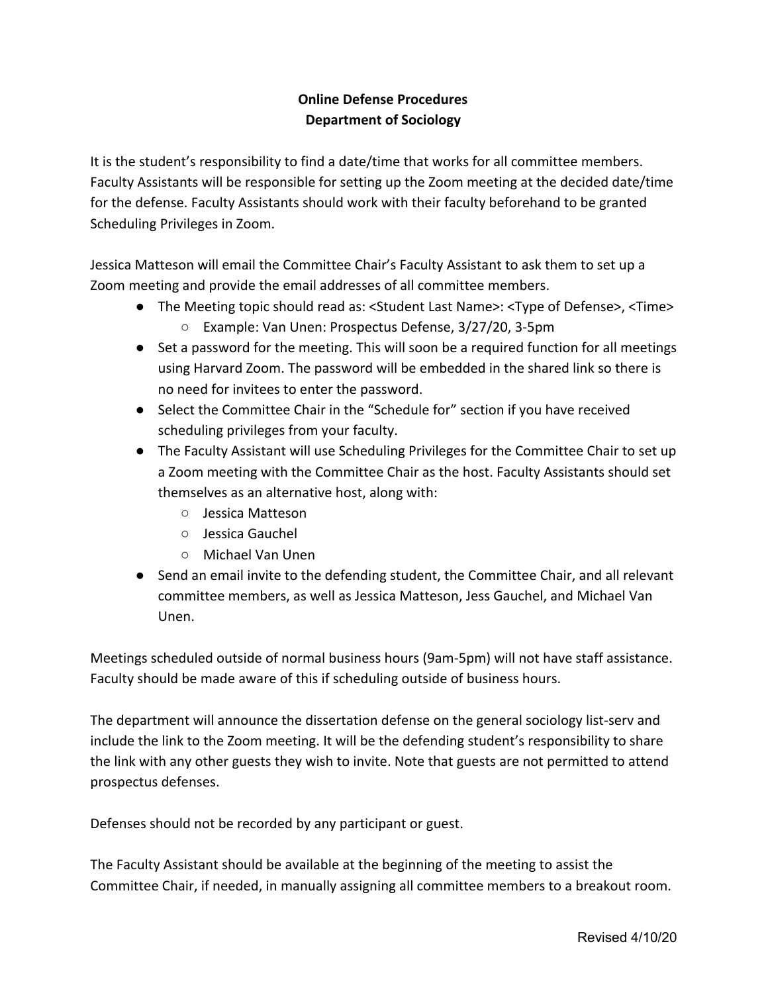## **Online Defense Procedures Department of Sociology**

It is the student's responsibility to find a date/time that works for all committee members. Faculty Assistants will be responsible for setting up the Zoom meeting at the decided date/time for the defense. Faculty Assistants should work with their faculty beforehand to be granted Scheduling Privileges in Zoom.

Jessica Matteson will email the Committee Chair's Faculty Assistant to ask them to set up a Zoom meeting and provide the email addresses of all committee members.

- The Meeting topic should read as: <Student Last Name>: <Type of Defense>, <Time> ○ Example: Van Unen: Prospectus Defense, 3/27/20, 3-5pm
- Set a password for the meeting. This will soon be a required function for all meetings using Harvard Zoom. The password will be embedded in the shared link so there is no need for invitees to enter the password.
- Select the Committee Chair in the "Schedule for" section if you have received scheduling privileges from your faculty.
- The Faculty Assistant will use Scheduling Privileges for the Committee Chair to set up a Zoom meeting with the Committee Chair as the host. Faculty Assistants should set themselves as an alternative host, along with:
	- Jessica Matteson
	- Jessica Gauchel
	- Michael Van Unen
- Send an email invite to the defending student, the Committee Chair, and all relevant committee members, as well as Jessica Matteson, Jess Gauchel, and Michael Van Unen.

Meetings scheduled outside of normal business hours (9am-5pm) will not have staff assistance. Faculty should be made aware of this if scheduling outside of business hours.

The department will announce the dissertation defense on the general sociology list-serv and include the link to the Zoom meeting. It will be the defending student's responsibility to share the link with any other guests they wish to invite. Note that guests are not permitted to attend prospectus defenses.

Defenses should not be recorded by any participant or guest.

The Faculty Assistant should be available at the beginning of the meeting to assist the Committee Chair, if needed, in manually assigning all committee members to a breakout room.